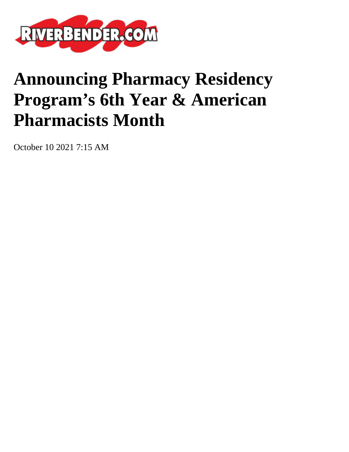

## **Announcing Pharmacy Residency Program's 6th Year & American Pharmacists Month**

October 10 2021 7:15 AM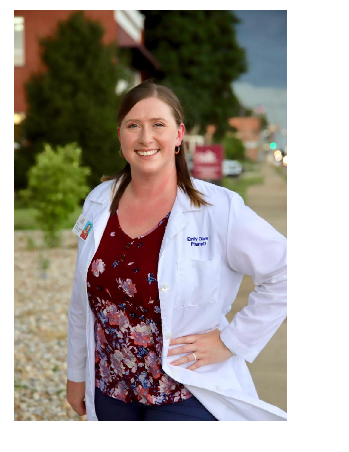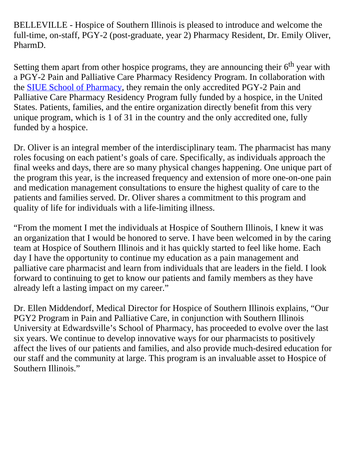BELLEVILLE - Hospice of Southern Illinois is pleased to introduce and welcome the full-time, on-staff, PGY-2 (post-graduate, year 2) Pharmacy Resident, Dr. Emily Oliver, PharmD.

Setting them apart from other hospice programs, they are announcing their  $6<sup>th</sup>$  year with a PGY-2 Pain and Palliative Care Pharmacy Residency Program. In collaboration with the [SIUE School of Pharmacy,](https://www.siue.edu/pharmacy/) they remain the only accredited PGY-2 Pain and Palliative Care Pharmacy Residency Program fully funded by a hospice, in the United States. Patients, families, and the entire organization directly benefit from this very unique program, which is 1 of 31 in the country and the only accredited one, fully funded by a hospice.

Dr. Oliver is an integral member of the interdisciplinary team. The pharmacist has many roles focusing on each patient's goals of care. Specifically, as individuals approach the final weeks and days, there are so many physical changes happening. One unique part of the program this year, is the increased frequency and extension of more one-on-one pain and medication management consultations to ensure the highest quality of care to the patients and families served. Dr. Oliver shares a commitment to this program and quality of life for individuals with a life-limiting illness.

"From the moment I met the individuals at Hospice of Southern Illinois, I knew it was an organization that I would be honored to serve. I have been welcomed in by the caring team at Hospice of Southern Illinois and it has quickly started to feel like home. Each day I have the opportunity to continue my education as a pain management and palliative care pharmacist and learn from individuals that are leaders in the field. I look forward to continuing to get to know our patients and family members as they have already left a lasting impact on my career."

Dr. Ellen Middendorf, Medical Director for Hospice of Southern Illinois explains, "Our PGY2 Program in Pain and Palliative Care, in conjunction with Southern Illinois University at Edwardsville's School of Pharmacy, has proceeded to evolve over the last six years. We continue to develop innovative ways for our pharmacists to positively affect the lives of our patients and families, and also provide much-desired education for our staff and the community at large. This program is an invaluable asset to Hospice of Southern Illinois."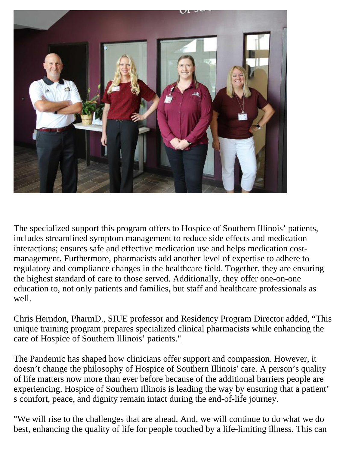

The specialized support this program offers to Hospice of Southern Illinois' patients, includes streamlined symptom management to reduce side effects and medication interactions; ensures safe and effective medication use and helps medication costmanagement. Furthermore, pharmacists add another level of expertise to adhere to regulatory and compliance changes in the healthcare field. Together, they are ensuring the highest standard of care to those served. Additionally, they offer one-on-one education to, not only patients and families, but staff and healthcare professionals as well.

Chris Herndon, PharmD., SIUE professor and Residency Program Director added, "This unique training program prepares specialized clinical pharmacists while enhancing the care of Hospice of Southern Illinois' patients."

The Pandemic has shaped how clinicians offer support and compassion. However, it doesn't change the philosophy of Hospice of Southern Illinois' care. A person's quality of life matters now more than ever before because of the additional barriers people are experiencing. Hospice of Southern Illinois is leading the way by ensuring that a patient' s comfort, peace, and dignity remain intact during the end-of-life journey.

"We will rise to the challenges that are ahead. And, we will continue to do what we do best, enhancing the quality of life for people touched by a life-limiting illness. This can